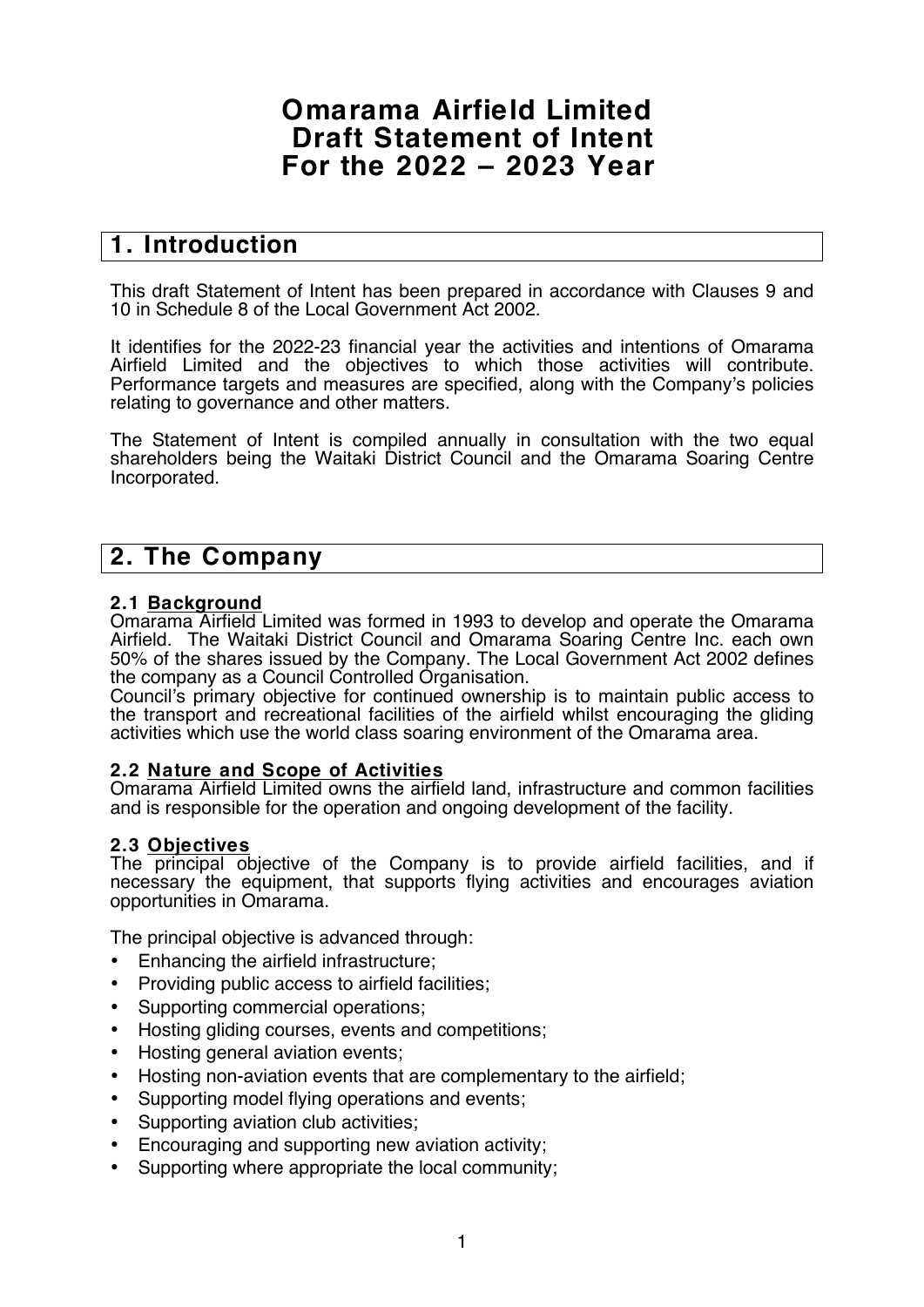# **Omarama Airfield Limited Draft Statement of Intent For the 2022 – 2023 Year**

## **1. Introduction**

This draft Statement of Intent has been prepared in accordance with Clauses 9 and 10 in Schedule 8 of the Local Government Act 2002.

It identifies for the 2022-23 financial year the activities and intentions of Omarama Airfield Limited and the objectives to which those activities will contribute. Performance targets and measures are specified, along with the Company's policies relating to governance and other matters.

The Statement of Intent is compiled annually in consultation with the two equal shareholders being the Waitaki District Council and the Omarama Soaring Centre Incorporated.

## **2. The Company**

## **2.1 Background**

Omarama Airfield Limited was formed in 1993 to develop and operate the Omarama Airfield. The Waitaki District Council and Omarama Soaring Centre Inc. each own 50% of the shares issued by the Company. The Local Government Act 2002 defines the company as a Council Controlled Organisation.

Council's primary objective for continued ownership is to maintain public access to the transport and recreational facilities of the airfield whilst encouraging the gliding activities which use the world class soaring environment of the Omarama area.

## **2.2 Nature and Scope of Activities**

Omarama Airfield Limited owns the airfield land, infrastructure and common facilities and is responsible for the operation and ongoing development of the facility.

#### **2.3 Objectives**

The principal objective of the Company is to provide airfield facilities, and if necessary the equipment, that supports flying activities and encourages aviation opportunities in Omarama.

The principal objective is advanced through:

- Enhancing the airfield infrastructure;
- Providing public access to airfield facilities;
- Supporting commercial operations;
- Hosting gliding courses, events and competitions;
- Hosting general aviation events;
- Hosting non-aviation events that are complementary to the airfield;
- Supporting model flying operations and events;
- Supporting aviation club activities;
- Encouraging and supporting new aviation activity;
- Supporting where appropriate the local community;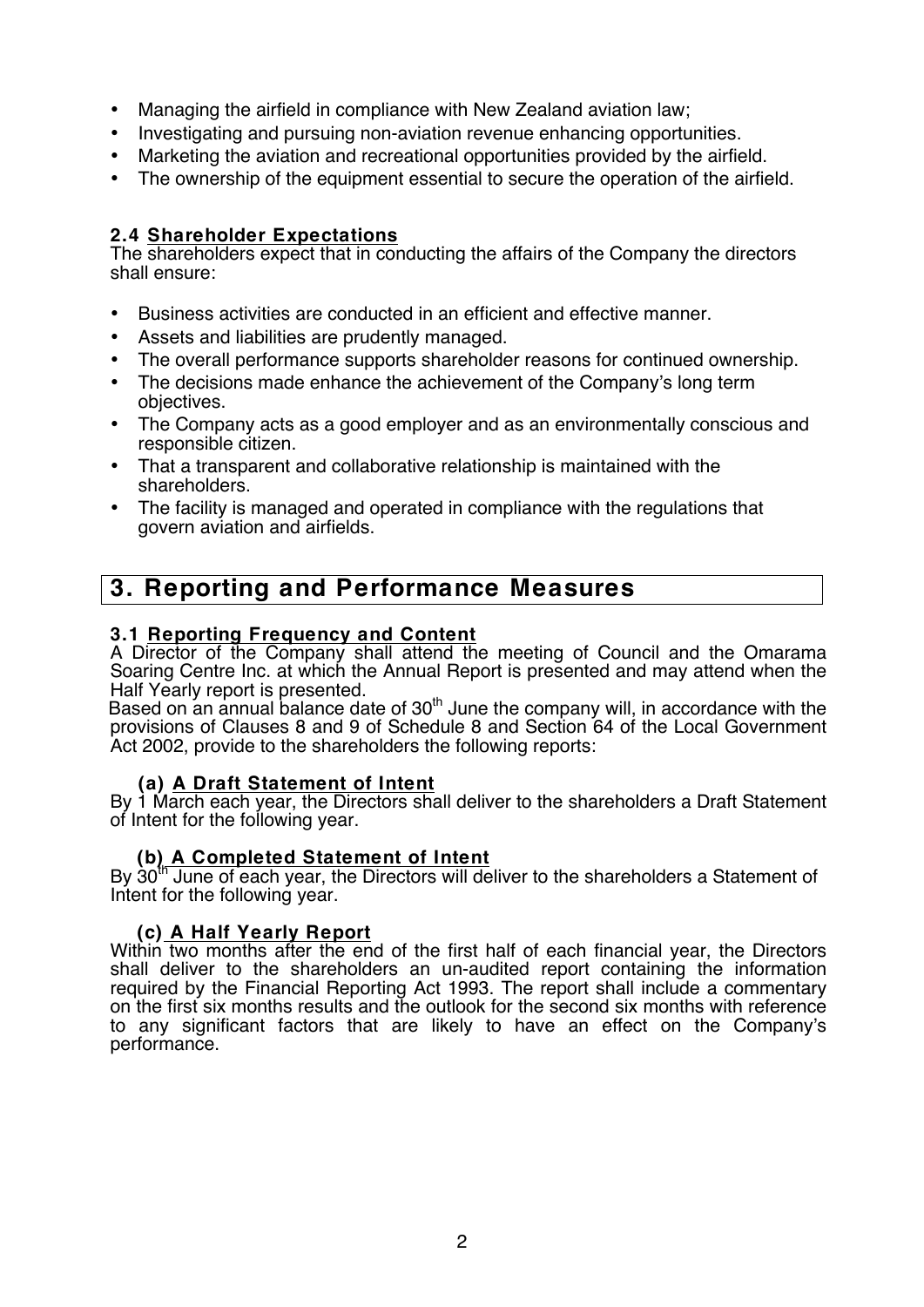- Managing the airfield in compliance with New Zealand aviation law;
- Investigating and pursuing non-aviation revenue enhancing opportunities.
- Marketing the aviation and recreational opportunities provided by the airfield.
- The ownership of the equipment essential to secure the operation of the airfield.

## **2.4 Shareholder Expectations**

The shareholders expect that in conducting the affairs of the Company the directors shall ensure:

- Business activities are conducted in an efficient and effective manner.
- Assets and liabilities are prudently managed.
- The overall performance supports shareholder reasons for continued ownership.
- The decisions made enhance the achievement of the Company's long term objectives.
- The Company acts as a good employer and as an environmentally conscious and responsible citizen.
- That a transparent and collaborative relationship is maintained with the shareholders.
- The facility is managed and operated in compliance with the regulations that govern aviation and airfields.

# **3. Reporting and Performance Measures**

## **3.1 Reporting Frequency and Content**

A Director of the Company shall attend the meeting of Council and the Omarama Soaring Centre Inc. at which the Annual Report is presented and may attend when the Half Yearly report is presented.

Based on an annual balance date of 30<sup>th</sup> June the company will, in accordance with the provisions of Clauses 8 and 9 of Schedule 8 and Section 64 of the Local Government Act 2002, provide to the shareholders the following reports:

## **(a) A Draft Statement of Intent**

By 1 March each year, the Directors shall deliver to the shareholders a Draft Statement of Intent for the following year.

## **(b) A Completed Statement of Intent**

By 30<sup>th</sup> June of each year, the Directors will deliver to the shareholders a Statement of Intent for the following year.

## **(c) A Half Yearly Report**

Within two months after the end of the first half of each financial year, the Directors shall deliver to the shareholders an un-audited report containing the information required by the Financial Reporting Act 1993. The report shall include a commentary on the first six months results and the outlook for the second six months with reference to any significant factors that are likely to have an effect on the Company's performance.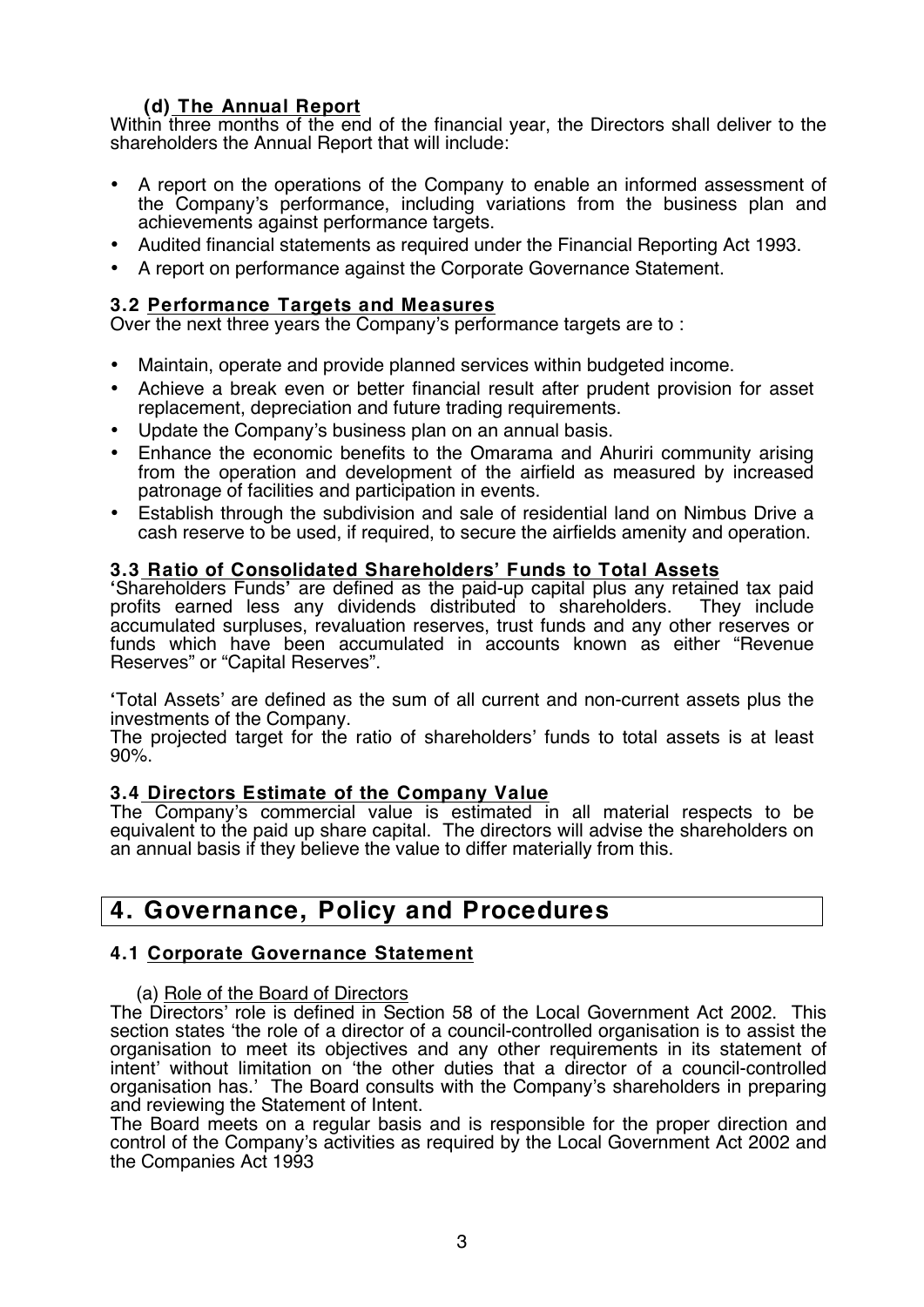## **(d) The Annual Report**

Within three months of the end of the financial year, the Directors shall deliver to the shareholders the Annual Report that will include:

- A report on the operations of the Company to enable an informed assessment of the Company's performance, including variations from the business plan and achievements against performance targets.
- Audited financial statements as required under the Financial Reporting Act 1993.
- A report on performance against the Corporate Governance Statement.

## **3.2 Performance Targets and Measures**

Over the next three years the Company's performance targets are to :

- Maintain, operate and provide planned services within budgeted income.
- Achieve a break even or better financial result after prudent provision for asset replacement, depreciation and future trading requirements.
- Update the Company's business plan on an annual basis.
- Enhance the economic benefits to the Omarama and Ahuriri community arising from the operation and development of the airfield as measured by increased patronage of facilities and participation in events.
- Establish through the subdivision and sale of residential land on Nimbus Drive a cash reserve to be used, if required, to secure the airfields amenity and operation.

## **3.3 Ratio of Consolidated Shareholders' Funds to Total Assets**

**'**Shareholders Funds**'** are defined as the paid-up capital plus any retained tax paid profits earned less any dividends distributed to shareholders. They include accumulated surpluses, revaluation reserves, trust funds and any other reserves or funds which have been accumulated in accounts known as either "Revenue Reserves" or "Capital Reserves".

**'**Total Assets' are defined as the sum of all current and non-current assets plus the investments of the Company.

The projected target for the ratio of shareholders' funds to total assets is at least 90%.

## **3.4 Directors Estimate of the Company Value**

The Company's commercial value is estimated in all material respects to be equivalent to the paid up share capital. The directors will advise the shareholders on an annual basis if they believe the value to differ materially from this.

## **4. Governance, Policy and Procedures**

## **4.1 Corporate Governance Statement**

#### (a) Role of the Board of Directors

The Directors' role is defined in Section 58 of the Local Government Act 2002. This section states 'the role of a director of a council-controlled organisation is to assist the organisation to meet its objectives and any other requirements in its statement of intent' without limitation on 'the other duties that a director of a council-controlled organisation has.' The Board consults with the Company's shareholders in preparing and reviewing the Statement of Intent.

The Board meets on a regular basis and is responsible for the proper direction and control of the Company's activities as required by the Local Government Act 2002 and the Companies Act 1993